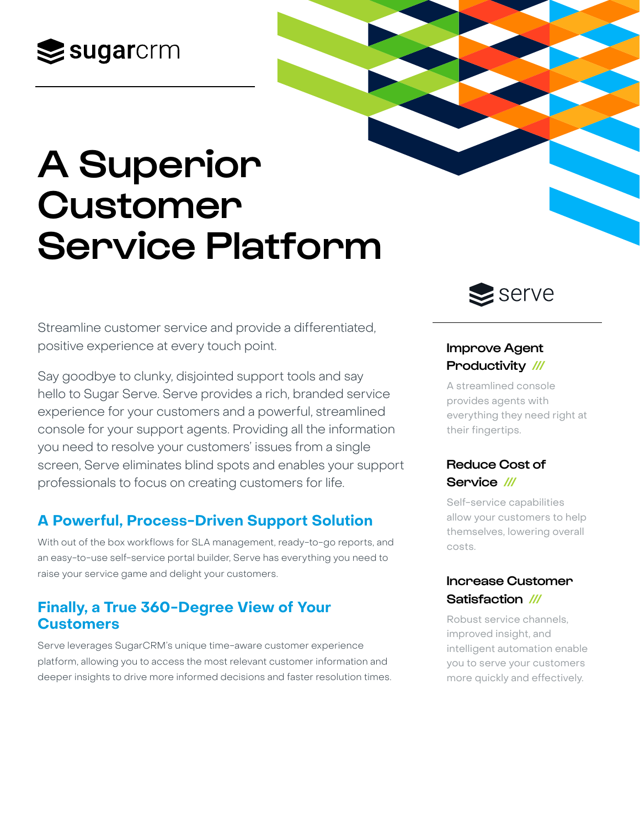## $\mathbf{\geq}$ sugarcrm

# A Superior Customer Service Platform

Streamline customer service and provide a differentiated, positive experience at every touch point.

Say goodbye to clunky, disjointed support tools and say hello to Sugar Serve. Serve provides a rich, branded service experience for your customers and a powerful, streamlined console for your support agents. Providing all the information you need to resolve your customers' issues from a single screen, Serve eliminates blind spots and enables your support professionals to focus on creating customers for life.

## **A Powerful, Process-Driven Support Solution**

With out of the box workflows for SLA management, ready-to-go reports, and an easy-to-use self-service portal builder, Serve has everything you need to raise your service game and delight your customers.

## **Finally, a True 360-Degree View of Your Customers**

Serve leverages SugarCRM's unique time-aware customer experience platform, allowing you to access the most relevant customer information and deeper insights to drive more informed decisions and faster resolution times.

## $\leq$  serve

### Improve Agent Productivity ///

A streamlined console provides agents with everything they need right at their fingertips.

## Reduce Cost of Service ///

Self-service capabilities allow your customers to help themselves, lowering overall costs.

## Increase Customer Satisfaction ///

Robust service channels, improved insight, and intelligent automation enable you to serve your customers more quickly and effectively.